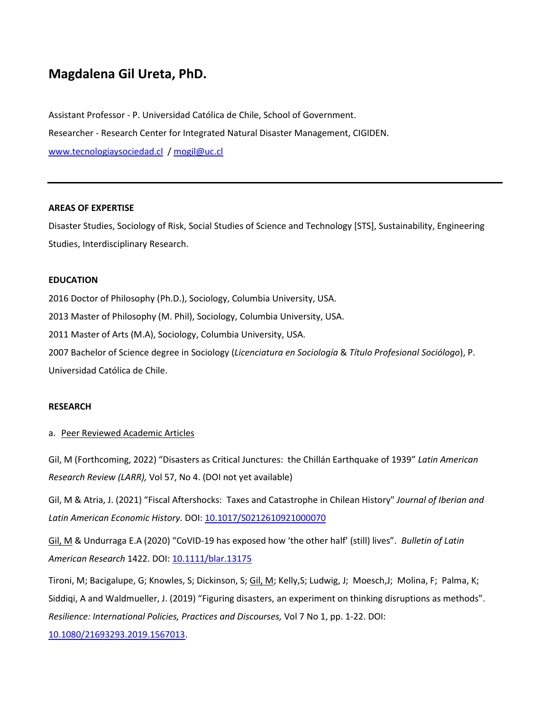# **Magdalena Gil Ureta, PhD.**

Assistant Professor - P. Universidad Católica de Chile, School of Government. Researcher - Research Center for Integrated Natural Disaster Management, CIGIDEN. [www.tecnologiaysociedad.cl](http://www.tecnologiaysociedad.cl/) / [mogil@uc.cl](mailto:mogil@uc.cl)

#### **AREAS OF EXPERTISE**

Disaster Studies, Sociology of Risk, Social Studies of Science and Technology [STS], Sustainability, Engineering Studies, Interdisciplinary Research.

#### **EDUCATION**

2016 Doctor of Philosophy (Ph.D.), Sociology, Columbia University, USA. 2013 Master of Philosophy (M. Phil), Sociology, Columbia University, USA. 2011 Master of Arts (M.A), Sociology, Columbia University, USA. 2007 Bachelor of Science degree in Sociology (*Licenciatura en Sociología* & *Título Profesional Sociólogo*), P. Universidad Católica de Chile.

#### **RESEARCH**

#### a. Peer Reviewed Academic Articles

Gil, M (Forthcoming, 2022) "Disasters as Critical Junctures: the Chillán Earthquake of 1939" *Latin American Research Review (LARR),* Vol 57, No 4. (DOI not yet available)

Gil, M & Atria, J. (2021) "Fiscal Aftershocks: Taxes and Catastrophe in Chilean History" *Journal of Iberian and Latin American Economic History.* DOI: [10.1017/S0212610921000070](https://doi.org/10.1017/S0212610921000070)

Gil, M & Undurraga E.A (2020) "CoVID-19 has exposed how 'the other half' (still) lives". *Bulletin of Latin American Research* 1422. DOI[: 10.1111/blar.13175](http://dx.doi.org/10.1111/blar.13175)

Tironi, M; Bacigalupe, G; Knowles, S; Dickinson, S; Gil, M; Kelly,S; Ludwig, J; Moesch,J; Molina, F; Palma, K; Siddiqi, A and Waldmueller, J. (2019) "Figuring disasters, an experiment on thinking disruptions as methods". *Resilience: International Policies, Practices and Discourses,* Vol 7 No 1, pp. 1-22. DOI:

[10.1080/21693293.2019.1567013.](https://www.tandfonline.com/doi/abs/10.1080/21693293.2019.1567013?journalCode=resi20)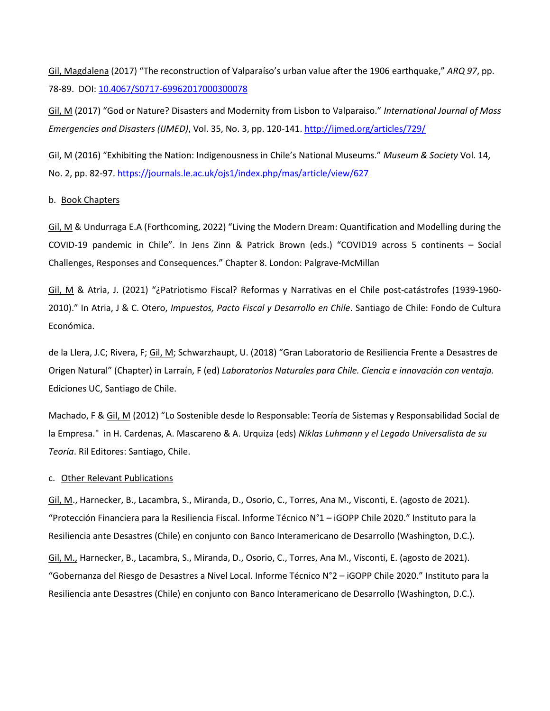Gil, Magdalena (2017) "The reconstruction of Valparaíso's urban value after the 1906 earthquake," *ARQ 97*, pp. 78-89. DOI[: 10.4067/S0717-69962017000300078](https://scielo.conicyt.cl/scielo.php?script=sci_abstract&pid=S0717-69962017000300078&lng=en&nrm=iso&tlng=es)

Gil, M (2017) "God or Nature? Disasters and Modernity from Lisbon to Valparaiso." *International Journal of Mass Emergencies and Disasters (IJMED)*, Vol. 35, No. 3, pp. 120-141.<http://ijmed.org/articles/729/>

Gil, M (2016) "Exhibiting the Nation: Indigenousness in Chile's National Museums." *Museum & Society* Vol. 14, No. 2, pp. 82-97[. https://journals.le.ac.uk/ojs1/index.php/mas/article/view/627](https://journals.le.ac.uk/ojs1/index.php/mas/article/view/627)

#### b. Book Chapters

Gil, M & Undurraga E.A (Forthcoming, 2022) "Living the Modern Dream: Quantification and Modelling during the COVID-19 pandemic in Chile". In Jens Zinn & Patrick Brown (eds.) "COVID19 across 5 continents – Social Challenges, Responses and Consequences." Chapter 8. London: Palgrave-McMillan

Gil, M & Atria, J. (2021) "¿Patriotismo Fiscal? Reformas y Narrativas en el Chile post-catástrofes (1939-1960- 2010)." In Atria, J & C. Otero, *Impuestos, Pacto Fiscal y Desarrollo en Chile*. Santiago de Chile: Fondo de Cultura Económica.

de la Llera, J.C; Rivera, F; Gil, M; Schwarzhaupt, U. (2018) "Gran Laboratorio de Resiliencia Frente a Desastres de Origen Natural" (Chapter) in Larraín, F (ed) *Laboratorios Naturales para Chile. Ciencia e innovación con ventaja.*  Ediciones UC, Santiago de Chile.

Machado, F & Gil, M (2012) "Lo Sostenible desde lo Responsable: Teoría de Sistemas y Responsabilidad Social de la Empresa." in H. Cardenas, A. Mascareno & A. Urquiza (eds) *Niklas Luhmann y el Legado Universalista de su Teoría*. Ril Editores: Santiago, Chile.

#### c. Other Relevant Publications

Gil, M., Harnecker, B., Lacambra, S., Miranda, D., Osorio, C., Torres, Ana M., Visconti, E. (agosto de 2021). "Protección Financiera para la Resiliencia Fiscal. Informe Técnico N°1 – iGOPP Chile 2020." Instituto para la Resiliencia ante Desastres (Chile) en conjunto con Banco Interamericano de Desarrollo (Washington, D.C.). Gil, M., Harnecker, B., Lacambra, S., Miranda, D., Osorio, C., Torres, Ana M., Visconti, E. (agosto de 2021). "Gobernanza del Riesgo de Desastres a Nivel Local. Informe Técnico N°2 – iGOPP Chile 2020." Instituto para la Resiliencia ante Desastres (Chile) en conjunto con Banco Interamericano de Desarrollo (Washington, D.C.).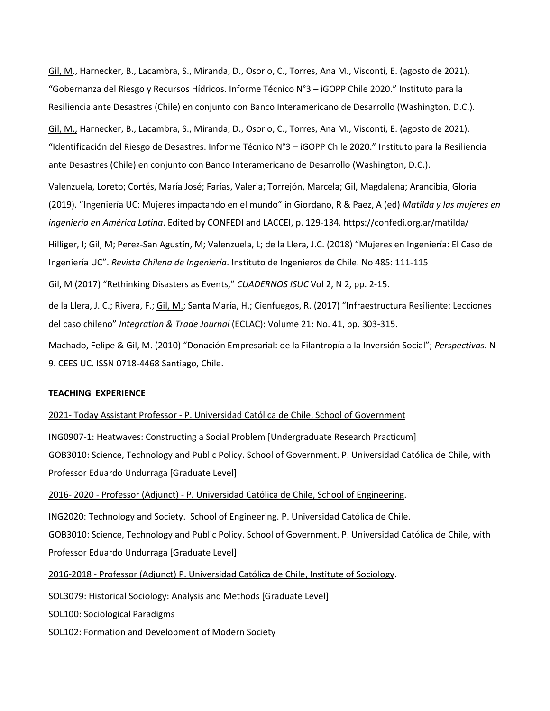Gil, M., Harnecker, B., Lacambra, S., Miranda, D., Osorio, C., Torres, Ana M., Visconti, E. (agosto de 2021). "Gobernanza del Riesgo y Recursos Hídricos. Informe Técnico N°3 – iGOPP Chile 2020." Instituto para la Resiliencia ante Desastres (Chile) en conjunto con Banco Interamericano de Desarrollo (Washington, D.C.). Gil, M., Harnecker, B., Lacambra, S., Miranda, D., Osorio, C., Torres, Ana M., Visconti, E. (agosto de 2021). "Identificación del Riesgo de Desastres. Informe Técnico N°3 – iGOPP Chile 2020." Instituto para la Resiliencia ante Desastres (Chile) en conjunto con Banco Interamericano de Desarrollo (Washington, D.C.). Valenzuela, Loreto; Cortés, María José; Farías, Valeria; Torrejón, Marcela; Gil, Magdalena; Arancibia, Gloria (2019). "Ingeniería UC: Mujeres impactando en el mundo" in Giordano, R & Paez, A (ed) *Matilda y las mujeres en ingeniería en América Latina*. Edited by CONFEDI and LACCEI, p. 129-134.<https://confedi.org.ar/matilda/> Hilliger, I; Gil, M; Perez-San Agustín, M; Valenzuela, L; de la Llera, J.C. (2018) "Mujeres en Ingeniería: El Caso de Ingeniería UC". *Revista Chilena de Ingeniería*. Instituto de Ingenieros de Chile. No 485: 111-115 Gil, M (2017) "Rethinking Disasters as Events," *CUADERNOS ISUC* Vol 2, N 2, pp. 2-15. de la Llera, J. C.; Rivera, F.; Gil, M.; Santa María, H.; Cienfuegos, R. (2017) "Infraestructura Resiliente: Lecciones del caso chileno" *Integration & Trade Journal* (ECLAC): Volume 21: No. 41, pp. 303-315.

Machado, Felipe & Gil, M. (2010) "Donación Empresarial: de la Filantropía a la Inversión Social"; *Perspectivas*. N 9. CEES UC. ISSN 0718-4468 Santiago, Chile.

#### **TEACHING EXPERIENCE**

2021- Today Assistant Professor - P. Universidad Católica de Chile, School of Government

[ING0907-1:](https://cursos.canvas.uc.cl/courses/28902) Heatwaves: Constructing a Social Problem [Undergraduate Research Practicum] GOB3010: Science, Technology and Public Policy. School of Government. P. Universidad Católica de Chile, with Professor Eduardo Undurraga [Graduate Level]

2016- 2020 - Professor (Adjunct) - P. Universidad Católica de Chile, School of Engineering.

ING2020: Technology and Society. School of Engineering. P. Universidad Católica de Chile. GOB3010: Science, Technology and Public Policy. School of Government. P. Universidad Católica de Chile, with Professor Eduardo Undurraga [Graduate Level]

2016-2018 - Professor (Adjunct) P. Universidad Católica de Chile, Institute of Sociology.

SOL3079: Historical Sociology: Analysis and Methods [Graduate Level]

SOL100: Sociological Paradigms

SOL102: Formation and Development of Modern Society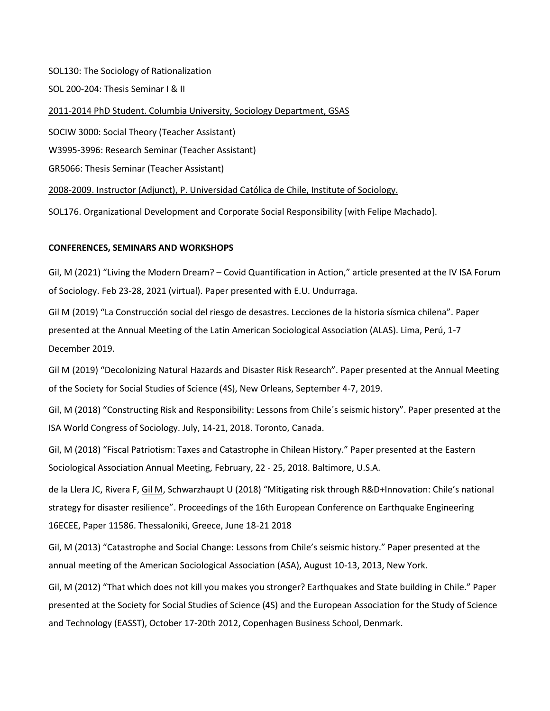SOL130: The Sociology of Rationalization

SOL 200-204: Thesis Seminar I & II

2011-2014 PhD Student. Columbia University, Sociology Department, GSAS

SOCIW 3000: Social Theory (Teacher Assistant)

W3995-3996: Research Seminar (Teacher Assistant)

GR5066: Thesis Seminar (Teacher Assistant)

2008-2009. Instructor (Adjunct), P. Universidad Católica de Chile, Institute of Sociology.

SOL176. Organizational Development and Corporate Social Responsibility [with Felipe Machado].

## **CONFERENCES, SEMINARS AND WORKSHOPS**

Gil, M (2021) "Living the Modern Dream? – Covid Quantification in Action," article presented at the IV ISA Forum of Sociology. Feb 23-28, 2021 (virtual). Paper presented with E.U. Undurraga.

Gil M (2019) "La Construcción social del riesgo de desastres. Lecciones de la historia sísmica chilena". Paper presented at the Annual Meeting of the Latin American Sociological Association (ALAS). Lima, Perú, 1-7 December 2019.

Gil M (2019) "Decolonizing Natural Hazards and Disaster Risk Research". Paper presented at the Annual Meeting of the Society for Social Studies of Science (4S), New Orleans, September 4-7, 2019.

Gil, M (2018) "Constructing Risk and Responsibility: Lessons from Chile´s seismic history". Paper presented at the ISA World Congress of Sociology. July, 14-21, 2018. Toronto, Canada.

Gil, M (2018) "Fiscal Patriotism: Taxes and Catastrophe in Chilean History." Paper presented at the Eastern Sociological Association Annual Meeting, February, 22 - 25, 2018. Baltimore, U.S.A.

de la Llera JC, Rivera F, Gil M, Schwarzhaupt U (2018) "Mitigating risk through R&D+Innovation: Chile's national strategy for disaster resilience". Proceedings of the 16th European Conference on Earthquake Engineering 16ECEE, Paper 11586. Thessaloniki, Greece, June 18-21 2018

Gil, M (2013) "Catastrophe and Social Change: Lessons from Chile's seismic history." Paper presented at the annual meeting of the American Sociological Association (ASA), August 10-13, 2013, New York.

Gil, M (2012) "That which does not kill you makes you stronger? Earthquakes and State building in Chile." Paper presented at the Society for Social Studies of Science (4S) and the European Association for the Study of Science and Technology (EASST), October 17-20th 2012, Copenhagen Business School, Denmark.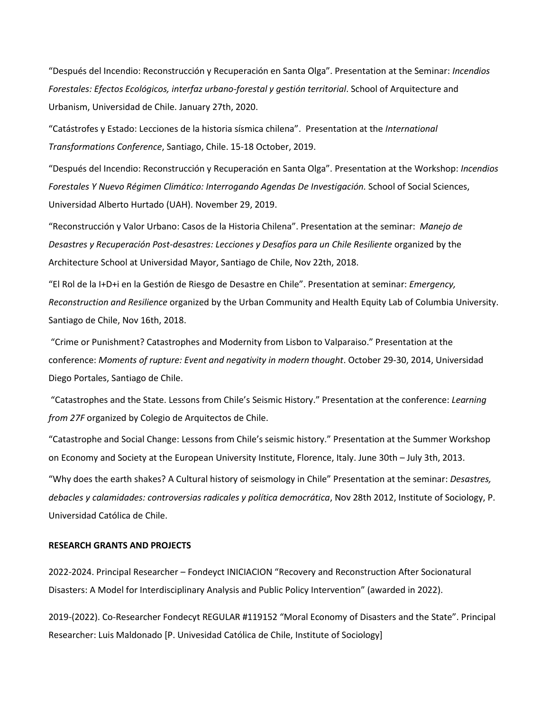"Después del Incendio: Reconstrucción y Recuperación en Santa Olga". Presentation at the Seminar: *Incendios Forestales: Efectos Ecológicos, interfaz urbano-forestal y gestión territorial*. School of Arquitecture and Urbanism, Universidad de Chile. January 27th, 2020.

"Catástrofes y Estado: Lecciones de la historia sísmica chilena". Presentation at the *International Transformations Conference*, Santiago, Chile. 15-18 October, 2019.

"Después del Incendio: Reconstrucción y Recuperación en Santa Olga". Presentation at the Workshop: *Incendios Forestales Y Nuevo Régimen Climático: Interrogando Agendas De Investigación.* School of Social Sciences, Universidad Alberto Hurtado (UAH). November 29, 2019.

"Reconstrucción y Valor Urbano: Casos de la Historia Chilena". Presentation at the seminar: *Manejo de Desastres y Recuperación Post-desastres: Lecciones y Desafíos para un Chile Resiliente* organized by the Architecture School at Universidad Mayor, Santiago de Chile, Nov 22th, 2018.

"El Rol de la I+D+i en la Gestión de Riesgo de Desastre en Chile". Presentation at seminar: *Emergency, Reconstruction and Resilience* organized by the Urban Community and Health Equity Lab of Columbia University. Santiago de Chile, Nov 16th, 2018.

"Crime or Punishment? Catastrophes and Modernity from Lisbon to Valparaiso." Presentation at the conference: *Moments of rupture: Event and negativity in modern thought*. October 29-30, 2014, Universidad Diego Portales, Santiago de Chile.

"Catastrophes and the State. Lessons from Chile's Seismic History." Presentation at the conference: *Learning from 27F* organized by Colegio de Arquitectos de Chile.

"Catastrophe and Social Change: Lessons from Chile's seismic history." Presentation at the Summer Workshop on Economy and Society at the European University Institute, Florence, Italy. June 30th – July 3th, 2013.

"Why does the earth shakes? A Cultural history of seismology in Chile" Presentation at the seminar: *Desastres, debacles y calamidades: controversias radicales y política democrática*, Nov 28th 2012, Institute of Sociology, P. Universidad Católica de Chile.

#### **RESEARCH GRANTS AND PROJECTS**

2022-2024. Principal Researcher – Fondeyct INICIACION "Recovery and Reconstruction After Socionatural Disasters: A Model for Interdisciplinary Analysis and Public Policy Intervention" (awarded in 2022).

2019-(2022). Co-Researcher Fondecyt REGULAR #119152 "Moral Economy of Disasters and the State". Principal Researcher: Luis Maldonado [P. Univesidad Católica de Chile, Institute of Sociology]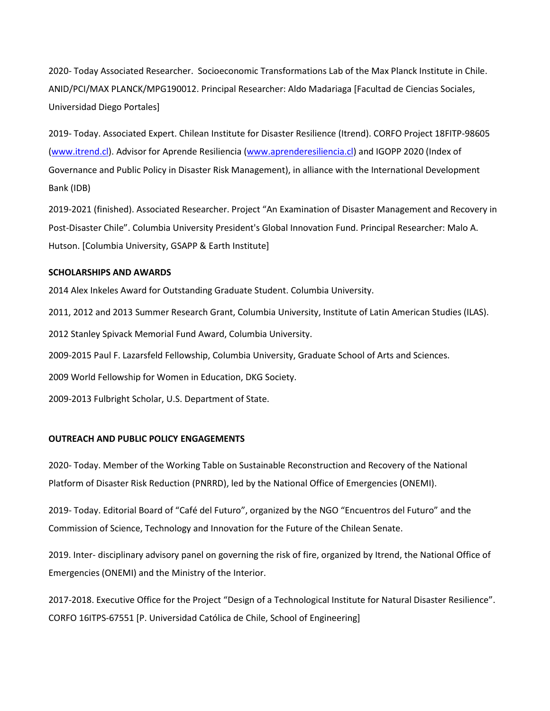2020- Today Associated Researcher. Socioeconomic Transformations Lab of the Max Planck Institute in Chile. ANID/PCI/MAX PLANCK/MPG190012. Principal Researcher: Aldo Madariaga [Facultad de Ciencias Sociales, Universidad Diego Portales]

2019- Today. Associated Expert. Chilean Institute for Disaster Resilience (Itrend). CORFO Project 18FITP-98605 [\(www.itrend.cl\)](http://www.itrend.cl/). Advisor for Aprende Resiliencia [\(www.aprenderesiliencia.cl\)](http://www.aprenderesiliencia.cl/) and IGOPP 2020 (Index of Governance and Public Policy in Disaster Risk Management), in alliance with the International Development Bank (IDB)

2019-2021 (finished). Associated Researcher. Project "An Examination of Disaster Management and Recovery in Post-Disaster Chile". Columbia University President's Global Innovation Fund. Principal Researcher: Malo A. Hutson. [Columbia University, GSAPP & Earth Institute]

### **SCHOLARSHIPS AND AWARDS**

2014 Alex Inkeles Award for Outstanding Graduate Student. Columbia University.

2011, 2012 and 2013 Summer Research Grant, Columbia University, Institute of Latin American Studies (ILAS).

2012 Stanley Spivack Memorial Fund Award, Columbia University.

2009-2015 Paul F. Lazarsfeld Fellowship, Columbia University, Graduate School of Arts and Sciences.

2009 World Fellowship for Women in Education, DKG Society.

2009-2013 Fulbright Scholar, U.S. Department of State.

#### **OUTREACH AND PUBLIC POLICY ENGAGEMENTS**

2020- Today. Member of the Working Table on Sustainable Reconstruction and Recovery of the National Platform of Disaster Risk Reduction (PNRRD), led by the National Office of Emergencies (ONEMI).

2019- Today. Editorial Board of "Café del Futuro", organized by the NGO "Encuentros del Futuro" and the Commission of Science, Technology and Innovation for the Future of the Chilean Senate.

2019. Inter- disciplinary advisory panel on governing the risk of fire, organized by Itrend, the National Office of Emergencies (ONEMI) and the Ministry of the Interior.

2017-2018. Executive Office for the Project "Design of a Technological Institute for Natural Disaster Resilience". CORFO 16ITPS-67551 [P. Universidad Católica de Chile, School of Engineering]